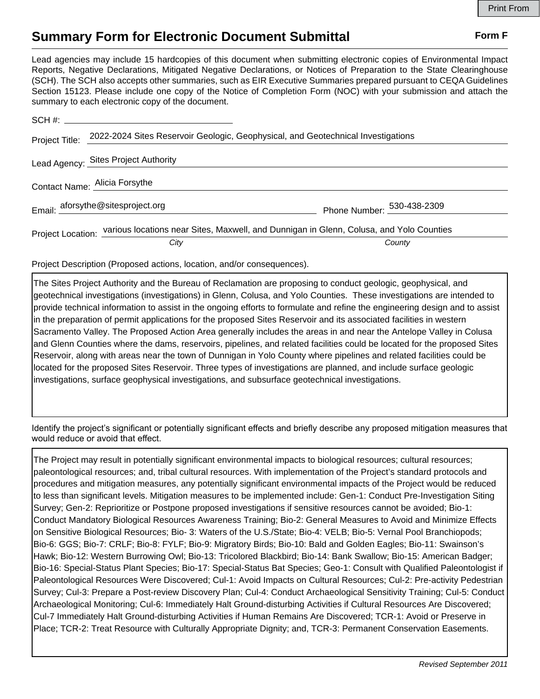## **Summary Form for Electronic Document Submittal Form F Form F**

Lead agencies may include 15 hardcopies of this document when submitting electronic copies of Environmental Impact Reports, Negative Declarations, Mitigated Negative Declarations, or Notices of Preparation to the State Clearinghouse (SCH). The SCH also accepts other summaries, such as EIR Executive Summaries prepared pursuant to CEQA Guidelines Section 15123. Please include one copy of the Notice of Completion Form (NOC) with your submission and attach the summary to each electronic copy of the document.

| Project Title:                | 2022-2024 Sites Reservoir Geologic, Geophysical, and Geotechnical Investigations                          |                            |
|-------------------------------|-----------------------------------------------------------------------------------------------------------|----------------------------|
|                               | Lead Agency: Sites Project Authority                                                                      |                            |
| Contact Name: Alicia Forsythe |                                                                                                           |                            |
|                               | Email: aforsythe@sitesproject.org                                                                         | Phone Number: 530-438-2309 |
|                               | Project Location: various locations near Sites, Maxwell, and Dunnigan in Glenn, Colusa, and Yolo Counties |                            |
|                               | City                                                                                                      | County                     |

Project Description (Proposed actions, location, and/or consequences).

The Sites Project Authority and the Bureau of Reclamation are proposing to conduct geologic, geophysical, and geotechnical investigations (investigations) in Glenn, Colusa, and Yolo Counties. These investigations are intended to provide technical information to assist in the ongoing efforts to formulate and refine the engineering design and to assist in the preparation of permit applications for the proposed Sites Reservoir and its associated facilities in western Sacramento Valley. The Proposed Action Area generally includes the areas in and near the Antelope Valley in Colusa and Glenn Counties where the dams, reservoirs, pipelines, and related facilities could be located for the proposed Sites Reservoir, along with areas near the town of Dunnigan in Yolo County where pipelines and related facilities could be located for the proposed Sites Reservoir. Three types of investigations are planned, and include surface geologic investigations, surface geophysical investigations, and subsurface geotechnical investigations.

Identify the project's significant or potentially significant effects and briefly describe any proposed mitigation measures that would reduce or avoid that effect.

The Project may result in potentially significant environmental impacts to biological resources; cultural resources; paleontological resources; and, tribal cultural resources. With implementation of the Project's standard protocols and procedures and mitigation measures, any potentially significant environmental impacts of the Project would be reduced to less than significant levels. Mitigation measures to be implemented include: Gen-1: Conduct Pre-Investigation Siting Survey; Gen-2: Reprioritize or Postpone proposed investigations if sensitive resources cannot be avoided; Bio-1: Conduct Mandatory Biological Resources Awareness Training; Bio-2: General Measures to Avoid and Minimize Effects on Sensitive Biological Resources; Bio- 3: Waters of the U.S./State; Bio-4: VELB; Bio-5: Vernal Pool Branchiopods; Bio-6: GGS; Bio-7: CRLF; Bio-8: FYLF; Bio-9: Migratory Birds; Bio-10: Bald and Golden Eagles; Bio-11: Swainson's Hawk; Bio-12: Western Burrowing Owl; Bio-13: Tricolored Blackbird; Bio-14: Bank Swallow; Bio-15: American Badger; Bio-16: Special-Status Plant Species; Bio-17: Special-Status Bat Species; Geo-1: Consult with Qualified Paleontologist if Paleontological Resources Were Discovered; Cul-1: Avoid Impacts on Cultural Resources; Cul-2: Pre-activity Pedestrian Survey; Cul-3: Prepare a Post-review Discovery Plan; Cul-4: Conduct Archaeological Sensitivity Training; Cul-5: Conduct Archaeological Monitoring; Cul-6: Immediately Halt Ground-disturbing Activities if Cultural Resources Are Discovered; Cul-7 Immediately Halt Ground-disturbing Activities if Human Remains Are Discovered; TCR-1: Avoid or Preserve in Place; TCR-2: Treat Resource with Culturally Appropriate Dignity; and, TCR-3: Permanent Conservation Easements.